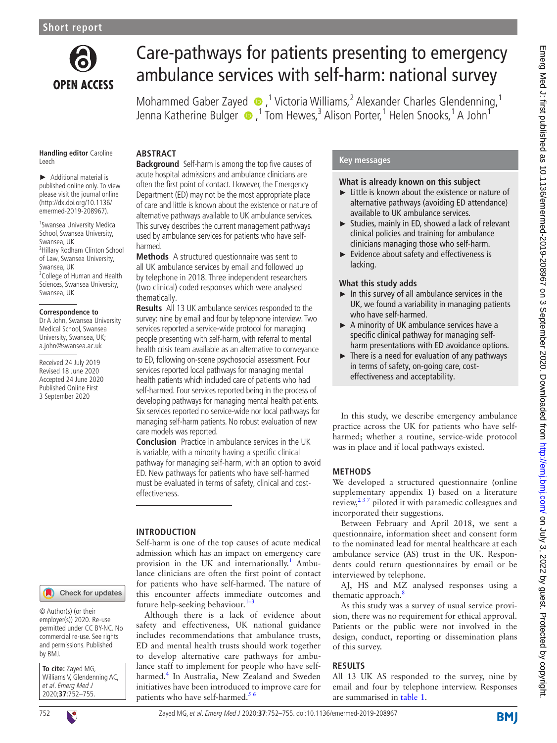

# Care-pathways for patients presenting to emergency ambulance services with self-harm: national survey

MohammedGaber Zayed  $\bullet$ ,<sup>1</sup> Victoria Williams,<sup>2</sup> Alexander Charles Glendenning,<sup>1</sup> Jenna Katherine Bulger  $\bigcirc$  ,<sup>1</sup> Tom Hewes,<sup>3</sup> Alison Porter,<sup>1</sup> Helen Snooks,<sup>1</sup> A John<sup>1</sup>

#### **Handling editor** Caroline Leech

► Additional material is published online only. To view please visit the journal online [\(http://dx.doi.org/10.1136/](http://dx.doi.org/10.1136/emermed-2019-208967) [emermed-2019-208967](http://dx.doi.org/10.1136/emermed-2019-208967)).

1 Swansea University Medical School, Swansea University, Swansea, UK 2 Hillary Rodham Clinton School of Law, Swansea University, Swansea, UK <sup>3</sup> College of Human and Health Sciences, Swansea University, Swansea, UK

#### **Correspondence to**

Dr A John, Swansea University Medical School, Swansea University, Swansea, UK; a.john@swansea.ac.uk

Received 24 July 2019 Revised 18 June 2020 Accepted 24 June 2020 Published Online First 3 September 2020

#### Check for updates

© Author(s) (or their employer(s)) 2020. Re-use permitted under CC BY-NC. No commercial re-use. See rights and permissions. Published by BMJ.

**To cite:** Zayed MG, Williams V, Glendenning AC, et al. Emerg Med J 2020;**37**:752–755.



# **ABSTRACT**

**Background** Self-harm is among the top five causes of acute hospital admissions and ambulance clinicians are often the first point of contact. However, the Emergency Department (ED) may not be the most appropriate place of care and little is known about the existence or nature of alternative pathways available to UK ambulance services. This survey describes the current management pathways used by ambulance services for patients who have selfharmed.

**Methods** A structured questionnaire was sent to all UK ambulance services by email and followed up by telephone in 2018. Three independent researchers (two clinical) coded responses which were analysed thematically.

**Results** All 13 UK ambulance services responded to the survey: nine by email and four by telephone interview. Two services reported a service-wide protocol for managing people presenting with self-harm, with referral to mental health crisis team available as an alternative to conveyance to ED, following on-scene psychosocial assessment. Four services reported local pathways for managing mental health patients which included care of patients who had self-harmed. Four services reported being in the process of developing pathways for managing mental health patients. Six services reported no service-wide nor local pathways for managing self-harm patients. No robust evaluation of new care models was reported.

**Conclusion** Practice in ambulance services in the UK is variable, with a minority having a specific clinical pathway for managing self-harm, with an option to avoid ED. New pathways for patients who have self-harmed must be evaluated in terms of safety, clinical and costeffectiveness.

# **INTRODUCTION**

Self-harm is one of the top causes of acute medical admission which has an impact on emergency care provision in the UK and internationally.<sup>[1](#page-3-0)</sup> Ambulance clinicians are often the first point of contact for patients who have self-harmed. The nature of this encounter affects immediate outcomes and future help-seeking behaviour. [1–3](#page-3-0)

Although there is a lack of evidence about safety and effectiveness, UK national guidance includes recommendations that ambulance trusts, ED and mental health trusts should work together to develop alternative care pathways for ambulance staff to implement for people who have selfharmed.[4](#page-3-1) In Australia, New Zealand and Sweden initiatives have been introduced to improve care for patients who have self-harmed.<sup>5</sup>

# **Key messages**

#### **What is already known on this subject**

- ► Little is known about the existence or nature of alternative pathways (avoiding ED attendance) available to UK ambulance services.
- ► Studies, mainly in ED, showed a lack of relevant clinical policies and training for ambulance clinicians managing those who self-harm.
- ► Evidence about safety and effectiveness is lacking.

### **What this study adds**

- $\blacktriangleright$  In this survey of all ambulance services in the UK, we found a variability in managing patients who have self-harmed.
- ► A minority of UK ambulance services have a specific clinical pathway for managing selfharm presentations with ED avoidance options.
- $\blacktriangleright$  There is a need for evaluation of any pathways in terms of safety, on-going care, costeffectiveness and acceptability.

In this study, we describe emergency ambulance practice across the UK for patients who have selfharmed; whether a routine, service-wide protocol was in place and if local pathways existed.

# **METHODS**

We developed a structured questionnaire [\(online](https://dx.doi.org/10.1136/emermed-2019-208967) [supplementary appendix 1\)](https://dx.doi.org/10.1136/emermed-2019-208967) based on a literature review,  $2^{37}$  piloted it with paramedic colleagues and incorporated their suggestions.

Between February and April 2018, we sent a questionnaire, information sheet and consent form to the nominated lead for mental healthcare at each ambulance service (AS) trust in the UK. Respondents could return questionnaires by email or be interviewed by telephone.

AJ, HS and MZ analysed responses using a thematic approach.<sup>[8](#page-3-4)</sup>

As this study was a survey of usual service provision, there was no requirement for ethical approval. Patients or the public were not involved in the design, conduct, reporting or dissemination plans of this survey.

# **RESULTS**

All 13 UK AS responded to the survey, nine by email and four by telephone interview. Responses are summarised in [table](#page-1-0) 1.

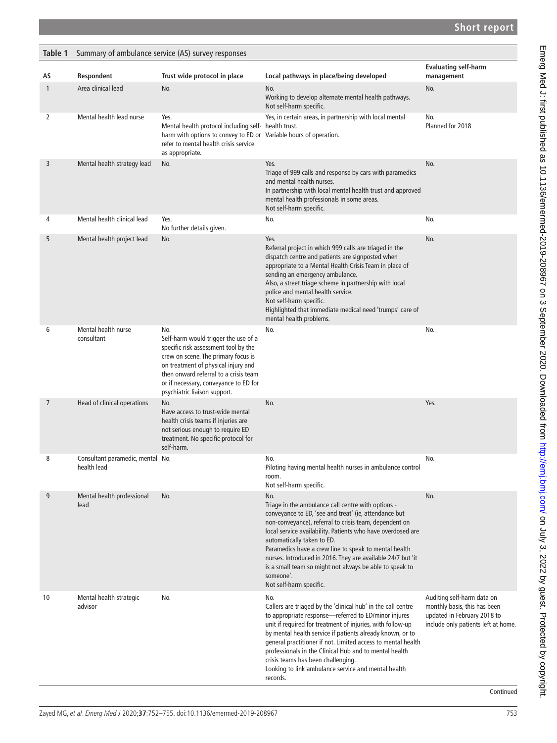<span id="page-1-0"></span>

| Table 1      | Summary of ambulance service (AS) survey responses |                                                                                                                                                                                                                                                                                     |                                                                                                                                                                                                                                                                                                                                                                                                                                                                                                      |                                                                                                                                 |  |
|--------------|----------------------------------------------------|-------------------------------------------------------------------------------------------------------------------------------------------------------------------------------------------------------------------------------------------------------------------------------------|------------------------------------------------------------------------------------------------------------------------------------------------------------------------------------------------------------------------------------------------------------------------------------------------------------------------------------------------------------------------------------------------------------------------------------------------------------------------------------------------------|---------------------------------------------------------------------------------------------------------------------------------|--|
| AS           | Respondent                                         | Trust wide protocol in place                                                                                                                                                                                                                                                        | Local pathways in place/being developed                                                                                                                                                                                                                                                                                                                                                                                                                                                              | <b>Evaluating self-harm</b><br>management                                                                                       |  |
| $\mathbf{1}$ | Area clinical lead                                 | No.                                                                                                                                                                                                                                                                                 | No.<br>Working to develop alternate mental health pathways.<br>Not self-harm specific.                                                                                                                                                                                                                                                                                                                                                                                                               | No.                                                                                                                             |  |
| 2            | Mental health lead nurse                           | Yes.<br>Mental health protocol including self- health trust.<br>harm with options to convey to ED or Variable hours of operation.<br>refer to mental health crisis service<br>as appropriate.                                                                                       | Yes, in certain areas, in partnership with local mental                                                                                                                                                                                                                                                                                                                                                                                                                                              | No.<br>Planned for 2018                                                                                                         |  |
| 3            | Mental health strategy lead                        | No.                                                                                                                                                                                                                                                                                 | Yes.<br>Triage of 999 calls and response by cars with paramedics<br>and mental health nurses.<br>In partnership with local mental health trust and approved<br>mental health professionals in some areas.<br>Not self-harm specific.                                                                                                                                                                                                                                                                 | No.                                                                                                                             |  |
| 4            | Mental health clinical lead                        | Yes.<br>No further details given.                                                                                                                                                                                                                                                   | No.                                                                                                                                                                                                                                                                                                                                                                                                                                                                                                  | No.                                                                                                                             |  |
| 5            | Mental health project lead                         | No.                                                                                                                                                                                                                                                                                 | Yes.<br>Referral project in which 999 calls are triaged in the<br>dispatch centre and patients are signposted when<br>appropriate to a Mental Health Crisis Team in place of<br>sending an emergency ambulance.<br>Also, a street triage scheme in partnership with local<br>police and mental health service.<br>Not self-harm specific.<br>Highlighted that immediate medical need 'trumps' care of<br>mental health problems.                                                                     | No.                                                                                                                             |  |
| 6            | Mental health nurse<br>consultant                  | No.<br>Self-harm would trigger the use of a<br>specific risk assessment tool by the<br>crew on scene. The primary focus is<br>on treatment of physical injury and<br>then onward referral to a crisis team<br>or if necessary, conveyance to ED for<br>psychiatric liaison support. | No.                                                                                                                                                                                                                                                                                                                                                                                                                                                                                                  | No.                                                                                                                             |  |
| 7            | Head of clinical operations                        | No.<br>Have access to trust-wide mental<br>health crisis teams if injuries are<br>not serious enough to require ED<br>treatment. No specific protocol for<br>self-harm.                                                                                                             | No.                                                                                                                                                                                                                                                                                                                                                                                                                                                                                                  | Yes.                                                                                                                            |  |
| 8            | Consultant paramedic, mental No.<br>health lead    |                                                                                                                                                                                                                                                                                     | No.<br>Piloting having mental health nurses in ambulance control<br>room.<br>Not self-harm specific.                                                                                                                                                                                                                                                                                                                                                                                                 | No.                                                                                                                             |  |
| 9            | Mental health professional<br>lead                 | No.                                                                                                                                                                                                                                                                                 | No.<br>Triage in the ambulance call centre with options -<br>conveyance to ED, 'see and treat' (ie, attendance but<br>non-conveyance), referral to crisis team, dependent on<br>local service availability. Patients who have overdosed are<br>automatically taken to ED.<br>Paramedics have a crew line to speak to mental health<br>nurses. Introduced in 2016. They are available 24/7 but 'it<br>is a small team so might not always be able to speak to<br>someone'.<br>Not self-harm specific. | No.                                                                                                                             |  |
| 10           | Mental health strategic<br>advisor                 | No.                                                                                                                                                                                                                                                                                 | No.<br>Callers are triaged by the 'clinical hub' in the call centre<br>to appropriate response-referred to ED/minor injures<br>unit if required for treatment of injuries, with follow-up<br>by mental health service if patients already known, or to<br>general practitioner if not. Limited access to mental health<br>professionals in the Clinical Hub and to mental health<br>crisis teams has been challenging.<br>Looking to link ambulance service and mental health<br>records.            | Auditing self-harm data on<br>monthly basis, this has been<br>updated in February 2018 to<br>include only patients left at home |  |

Continued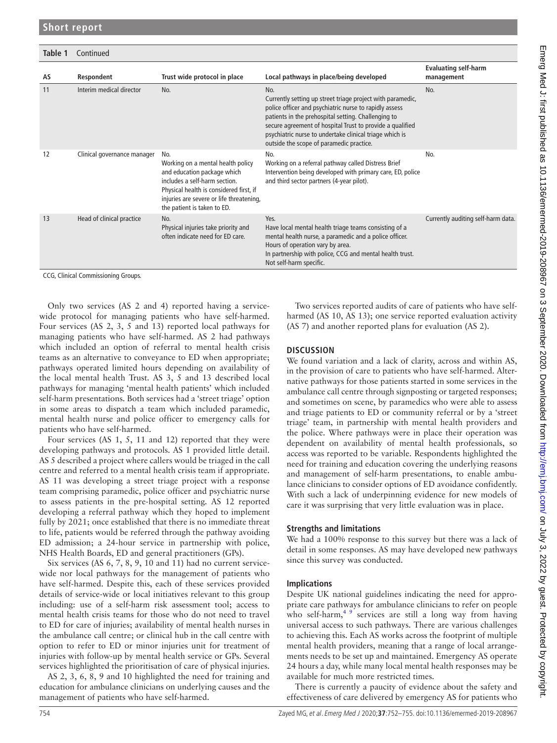| Table 1 | Continued                   |                                                                                                                                                                                                                                |                                                                                                                                                                                                                                                                                                                                                        |                                           |  |
|---------|-----------------------------|--------------------------------------------------------------------------------------------------------------------------------------------------------------------------------------------------------------------------------|--------------------------------------------------------------------------------------------------------------------------------------------------------------------------------------------------------------------------------------------------------------------------------------------------------------------------------------------------------|-------------------------------------------|--|
| AS      | Respondent                  | Trust wide protocol in place                                                                                                                                                                                                   | Local pathways in place/being developed                                                                                                                                                                                                                                                                                                                | <b>Evaluating self-harm</b><br>management |  |
| 11      | Interim medical director    | No.                                                                                                                                                                                                                            | No.<br>Currently setting up street triage project with paramedic,<br>police officer and psychiatric nurse to rapidly assess<br>patients in the prehospital setting. Challenging to<br>secure agreement of hospital Trust to provide a qualified<br>psychiatric nurse to undertake clinical triage which is<br>outside the scope of paramedic practice. | No.                                       |  |
| 12      | Clinical governance manager | No.<br>Working on a mental health policy<br>and education package which<br>includes a self-harm section.<br>Physical health is considered first, if<br>injuries are severe or life threatening,<br>the patient is taken to ED. | No.<br>Working on a referral pathway called Distress Brief<br>Intervention being developed with primary care, ED, police<br>and third sector partners (4-year pilot).                                                                                                                                                                                  | No.                                       |  |
| 13      | Head of clinical practice   | No.<br>Physical injuries take priority and<br>often indicate need for ED care.                                                                                                                                                 | Yes.<br>Have local mental health triage teams consisting of a<br>mental health nurse, a paramedic and a police officer.<br>Hours of operation vary by area.<br>In partnership with police, CCG and mental health trust.<br>Not self-harm specific.                                                                                                     | Currently auditing self-harm data         |  |

CCG, Clinical Commissioning Groups.

Only two services (AS 2 and 4) reported having a servicewide protocol for managing patients who have self-harmed. Four services (AS 2, 3, 5 and 13) reported local pathways for managing patients who have self-harmed. AS 2 had pathways which included an option of referral to mental health crisis teams as an alternative to conveyance to ED when appropriate; pathways operated limited hours depending on availability of the local mental health Trust. AS 3, 5 and 13 described local pathways for managing 'mental health patients' which included self-harm presentations. Both services had a 'street triage' option in some areas to dispatch a team which included paramedic, mental health nurse and police officer to emergency calls for patients who have self-harmed.

Four services (AS 1, 5, 11 and 12) reported that they were developing pathways and protocols. AS 1 provided little detail. AS 5 described a project where callers would be triaged in the call centre and referred to a mental health crisis team if appropriate. AS 11 was developing a street triage project with a response team comprising paramedic, police officer and psychiatric nurse to assess patients in the pre-hospital setting. AS 12 reported developing a referral pathway which they hoped to implement fully by 2021; once established that there is no immediate threat to life, patients would be referred through the pathway avoiding ED admission; a 24-hour service in partnership with police, NHS Health Boards, ED and general practitioners (GPs).

Six services (AS 6, 7, 8, 9, 10 and 11) had no current servicewide nor local pathways for the management of patients who have self-harmed. Despite this, each of these services provided details of service-wide or local initiatives relevant to this group including: use of a self-harm risk assessment tool; access to mental health crisis teams for those who do not need to travel to ED for care of injuries; availability of mental health nurses in the ambulance call centre; or clinical hub in the call centre with option to refer to ED or minor injuries unit for treatment of injuries with follow-up by mental health service or GPs. Several services highlighted the prioritisation of care of physical injuries.

AS 2, 3, 6, 8, 9 and 10 highlighted the need for training and education for ambulance clinicians on underlying causes and the management of patients who have self-harmed.

Two services reported audits of care of patients who have selfharmed (AS 10, AS 13); one service reported evaluation activity (AS 7) and another reported plans for evaluation (AS 2).

### **DISCUSSION**

We found variation and a lack of clarity, across and within AS, in the provision of care to patients who have self-harmed. Alternative pathways for those patients started in some services in the ambulance call centre through signposting or targeted responses; and sometimes on scene, by paramedics who were able to assess and triage patients to ED or community referral or by a 'street triage' team, in partnership with mental health providers and the police. Where pathways were in place their operation was dependent on availability of mental health professionals, so access was reported to be variable. Respondents highlighted the need for training and education covering the underlying reasons and management of self-harm presentations, to enable ambulance clinicians to consider options of ED avoidance confidently. With such a lack of underpinning evidence for new models of care it was surprising that very little evaluation was in place.

#### **Strengths and limitations**

We had a 100% response to this survey but there was a lack of detail in some responses. AS may have developed new pathways since this survey was conducted.

#### **Implications**

Despite UK national guidelines indicating the need for appropriate care pathways for ambulance clinicians to refer on people who self-harm, $49$  services are still a long way from having universal access to such pathways. There are various challenges to achieving this. Each AS works across the footprint of multiple mental health providers, meaning that a range of local arrangements needs to be set up and maintained. Emergency AS operate 24 hours a day, while many local mental health responses may be available for much more restricted times.

There is currently a paucity of evidence about the safety and effectiveness of care delivered by emergency AS for patients who